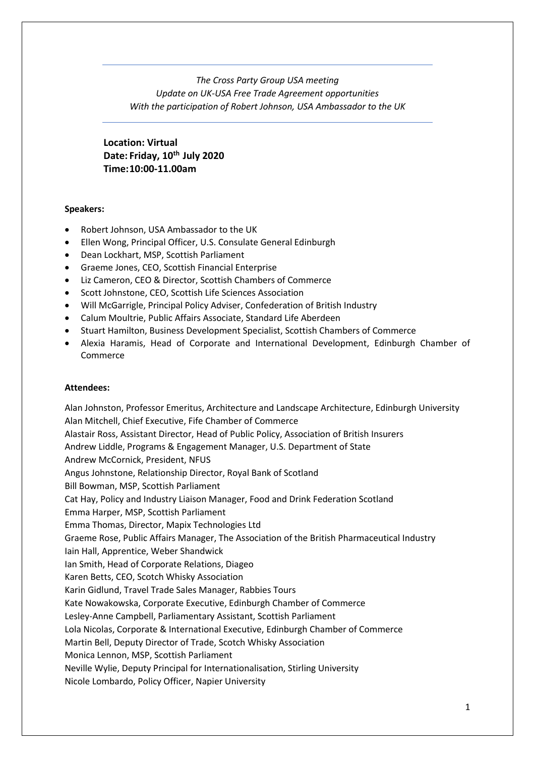*The Cross Party Group USA meeting Update on UK-USA Free Trade Agreement opportunities With the participation of Robert Johnson, USA Ambassador to the UK*

**Location: Virtual Date: Friday, 10th July 2020 Time:10:00-11.00am**

#### **Speakers:**

- Robert Johnson, USA Ambassador to the UK
- Ellen Wong, Principal Officer, U.S. Consulate General Edinburgh
- Dean Lockhart, MSP, Scottish Parliament
- Graeme Jones, CEO, Scottish Financial Enterprise
- Liz Cameron, CEO & Director, Scottish Chambers of Commerce
- Scott Johnstone, CEO, Scottish Life Sciences Association
- Will McGarrigle, Principal Policy Adviser, Confederation of British Industry
- Calum Moultrie, Public Affairs Associate, Standard Life Aberdeen
- Stuart Hamilton, Business Development Specialist, Scottish Chambers of Commerce
- Alexia Haramis, Head of Corporate and International Development, Edinburgh Chamber of Commerce

#### **Attendees:**

Alan Johnston, Professor Emeritus, Architecture and Landscape Architecture, Edinburgh University Alan Mitchell, Chief Executive, Fife Chamber of Commerce Alastair Ross, Assistant Director, Head of Public Policy, Association of British Insurers Andrew Liddle, Programs & Engagement Manager, U.S. Department of State Andrew McCornick, President, NFUS Angus Johnstone, Relationship Director, Royal Bank of Scotland Bill Bowman, MSP, Scottish Parliament Cat Hay, Policy and Industry Liaison Manager, Food and Drink Federation Scotland Emma Harper, MSP, Scottish Parliament Emma Thomas, Director, Mapix Technologies Ltd Graeme Rose, Public Affairs Manager, The Association of the British Pharmaceutical Industry Iain Hall, Apprentice, Weber Shandwick Ian Smith, Head of Corporate Relations, Diageo Karen Betts, CEO, Scotch Whisky Association Karin Gidlund, Travel Trade Sales Manager, Rabbies Tours Kate Nowakowska, Corporate Executive, Edinburgh Chamber of Commerce Lesley-Anne Campbell, Parliamentary Assistant, Scottish Parliament Lola Nicolas, Corporate & International Executive, Edinburgh Chamber of Commerce Martin Bell, Deputy Director of Trade, Scotch Whisky Association Monica Lennon, MSP, Scottish Parliament Neville Wylie, Deputy Principal for Internationalisation, Stirling University Nicole Lombardo, Policy Officer, Napier University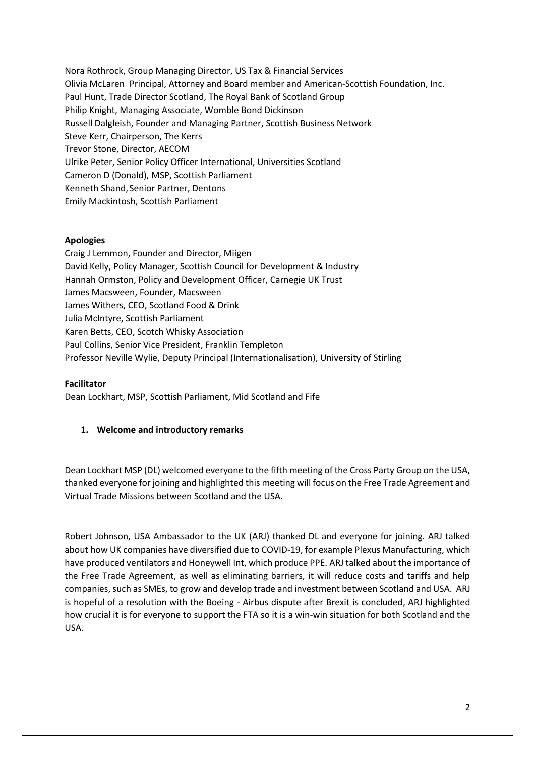Nora Rothrock, Group Managing Director, US Tax & Financial Services Olivia McLaren Principal, Attorney and Board member and American-Scottish Foundation, Inc. Paul Hunt, Trade Director Scotland, The Royal Bank of Scotland Group Philip Knight, Managing Associate, Womble Bond Dickinson Russell Dalgleish, Founder and Managing Partner, Scottish Business Network Steve Kerr, Chairperson, The Kerrs Trevor Stone, Director, AECOM Ulrike Peter, Senior Policy Officer International, Universities Scotland Cameron D (Donald), MSP, Scottish Parliament Kenneth Shand, Senior Partner, Dentons Emily Mackintosh, Scottish Parliament

### **Apologies**

Craig J Lemmon, Founder and Director, Miigen David Kelly, Policy Manager, Scottish Council for Development & Industry Hannah Ormston, Policy and Development Officer, Carnegie UK Trust James Macsween, Founder, Macsween James Withers, CEO, Scotland Food & Drink Julia McIntyre, Scottish Parliament Karen Betts, CEO, Scotch Whisky Association Paul Collins, Senior Vice President, Franklin Templeton Professor Neville Wylie, Deputy Principal (Internationalisation), University of Stirling

#### **Facilitator**

Dean Lockhart, MSP, Scottish Parliament, Mid Scotland and Fife

## **1. Welcome and introductory remarks**

Dean Lockhart MSP (DL) welcomed everyone to the fifth meeting of the Cross Party Group on the USA, thanked everyone for joining and highlighted this meeting will focus on the Free Trade Agreement and Virtual Trade Missions between Scotland and the USA.

Robert Johnson, USA Ambassador to the UK (ARJ) thanked DL and everyone for joining. ARJ talked about how UK companies have diversified due to COVID-19, for example Plexus Manufacturing, which have produced ventilators and Honeywell Int, which produce PPE. ARJ talked about the importance of the Free Trade Agreement, as well as eliminating barriers, it will reduce costs and tariffs and help companies, such as SMEs, to grow and develop trade and investment between Scotland and USA. ARJ is hopeful of a resolution with the Boeing - Airbus dispute after Brexit is concluded, ARJ highlighted how crucial it is for everyone to support the FTA so it is a win-win situation for both Scotland and the USA.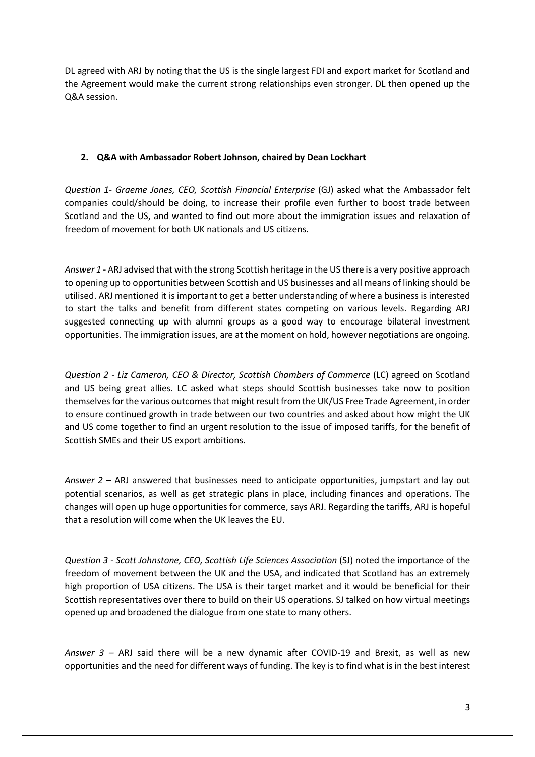DL agreed with ARJ by noting that the US is the single largest FDI and export market for Scotland and the Agreement would make the current strong relationships even stronger. DL then opened up the Q&A session.

### **2. Q&A with Ambassador Robert Johnson, chaired by Dean Lockhart**

*Question 1- Graeme Jones, CEO, Scottish Financial Enterprise* (GJ) asked what the Ambassador felt companies could/should be doing, to increase their profile even further to boost trade between Scotland and the US, and wanted to find out more about the immigration issues and relaxation of freedom of movement for both UK nationals and US citizens.

*Answer 1* - ARJ advised that with the strong Scottish heritage in the US there is a very positive approach to opening up to opportunities between Scottish and US businesses and all means of linking should be utilised. ARJ mentioned it is important to get a better understanding of where a business is interested to start the talks and benefit from different states competing on various levels. Regarding ARJ suggested connecting up with alumni groups as a good way to encourage bilateral investment opportunities. The immigration issues, are at the moment on hold, however negotiations are ongoing.

*Question 2 - Liz Cameron, CEO & Director, Scottish Chambers of Commerce* (LC) agreed on Scotland and US being great allies. LC asked what steps should Scottish businesses take now to position themselves for the various outcomes that might result from the UK/US Free Trade Agreement, in order to ensure continued growth in trade between our two countries and asked about how might the UK and US come together to find an urgent resolution to the issue of imposed tariffs, for the benefit of Scottish SMEs and their US export ambitions.

*Answer 2* – ARJ answered that businesses need to anticipate opportunities, jumpstart and lay out potential scenarios, as well as get strategic plans in place, including finances and operations. The changes will open up huge opportunities for commerce, says ARJ. Regarding the tariffs, ARJ is hopeful that a resolution will come when the UK leaves the EU.

*Question 3 - Scott Johnstone, CEO, Scottish Life Sciences Association* (SJ) noted the importance of the freedom of movement between the UK and the USA, and indicated that Scotland has an extremely high proportion of USA citizens. The USA is their target market and it would be beneficial for their Scottish representatives over there to build on their US operations. SJ talked on how virtual meetings opened up and broadened the dialogue from one state to many others.

*Answer 3 –* ARJ said there will be a new dynamic after COVID-19 and Brexit, as well as new opportunities and the need for different ways of funding. The key is to find what is in the best interest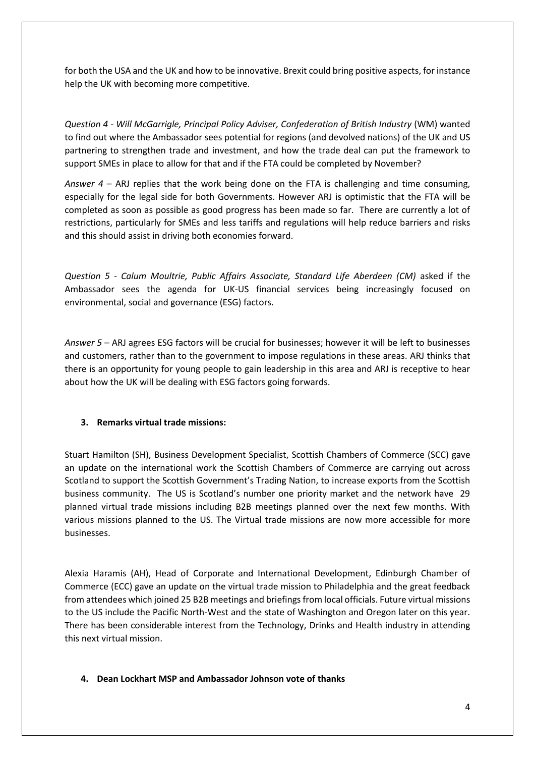for both the USA and the UK and how to be innovative. Brexit could bring positive aspects, for instance help the UK with becoming more competitive.

*Question 4 - Will McGarrigle, Principal Policy Adviser, Confederation of British Industry* (WM) wanted to find out where the Ambassador sees potential for regions (and devolved nations) of the UK and US partnering to strengthen trade and investment, and how the trade deal can put the framework to support SMEs in place to allow for that and if the FTA could be completed by November?

*Answer 4* – ARJ replies that the work being done on the FTA is challenging and time consuming, especially for the legal side for both Governments. However ARJ is optimistic that the FTA will be completed as soon as possible as good progress has been made so far. There are currently a lot of restrictions, particularly for SMEs and less tariffs and regulations will help reduce barriers and risks and this should assist in driving both economies forward.

*Question 5* - *Calum Moultrie, Public Affairs Associate, Standard Life Aberdeen (CM)* asked if the Ambassador sees the agenda for UK-US financial services being increasingly focused on environmental, social and governance (ESG) factors.

*Answer 5* – ARJ agrees ESG factors will be crucial for businesses; however it will be left to businesses and customers, rather than to the government to impose regulations in these areas. ARJ thinks that there is an opportunity for young people to gain leadership in this area and ARJ is receptive to hear about how the UK will be dealing with ESG factors going forwards.

## **3. Remarks virtual trade missions:**

Stuart Hamilton (SH), Business Development Specialist, Scottish Chambers of Commerce (SCC) gave an update on the international work the Scottish Chambers of Commerce are carrying out across Scotland to support the Scottish Government's Trading Nation, to increase exports from the Scottish business community. The US is Scotland's number one priority market and the network have 29 planned virtual trade missions including B2B meetings planned over the next few months. With various missions planned to the US. The Virtual trade missions are now more accessible for more businesses.

Alexia Haramis (AH), Head of Corporate and International Development, Edinburgh Chamber of Commerce (ECC) gave an update on the virtual trade mission to Philadelphia and the great feedback from attendees which joined 25 B2B meetings and briefings from local officials. Future virtual missions to the US include the Pacific North-West and the state of Washington and Oregon later on this year. There has been considerable interest from the Technology, Drinks and Health industry in attending this next virtual mission.

#### **4. Dean Lockhart MSP and Ambassador Johnson vote of thanks**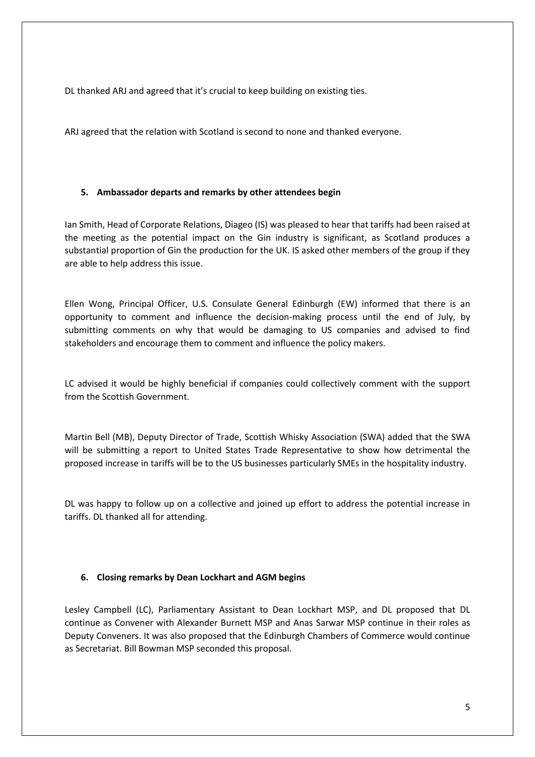DL thanked ARJ and agreed that it's crucial to keep building on existing ties.

ARJ agreed that the relation with Scotland is second to none and thanked everyone.

### **5. Ambassador departs and remarks by other attendees begin**

Ian Smith, Head of Corporate Relations, Diageo (IS) was pleased to hear that tariffs had been raised at the meeting as the potential impact on the Gin industry is significant, as Scotland produces a substantial proportion of Gin the production for the UK. IS asked other members of the group if they are able to help address this issue.

Ellen Wong, Principal Officer, U.S. Consulate General Edinburgh (EW) informed that there is an opportunity to comment and influence the decision-making process until the end of July, by submitting comments on why that would be damaging to US companies and advised to find stakeholders and encourage them to comment and influence the policy makers.

LC advised it would be highly beneficial if companies could collectively comment with the support from the Scottish Government.

Martin Bell (MB), Deputy Director of Trade, Scottish Whisky Association (SWA) added that the SWA will be submitting a report to United States Trade Representative to show how detrimental the proposed increase in tariffs will be to the US businesses particularly SMEs in the hospitality industry.

DL was happy to follow up on a collective and joined up effort to address the potential increase in tariffs. DL thanked all for attending.

#### **6. Closing remarks by Dean Lockhart and AGM begins**

Lesley Campbell (LC), Parliamentary Assistant to Dean Lockhart MSP, and DL proposed that DL continue as Convener with Alexander Burnett MSP and Anas Sarwar MSP continue in their roles as Deputy Conveners. It was also proposed that the Edinburgh Chambers of Commerce would continue as Secretariat. Bill Bowman MSP seconded this proposal.